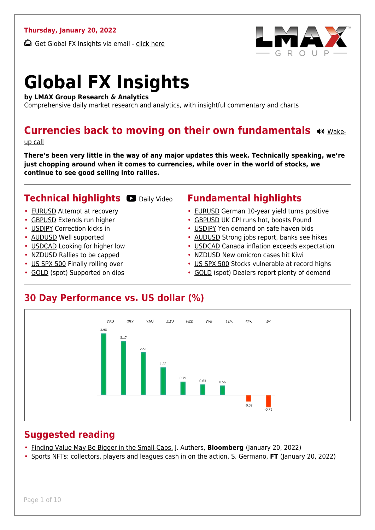#### **Thursday, January 20, 2022**

Get Global FX Insights via email - [click here](https://www.lmax.com/blog/global-fx-insights/sign-up/?src=gfxipdf)



# **Global FX Insights**

**by LMAX Group Research & Analytics**

Comprehensive daily market research and analytics, with insightful commentary and charts

#### **Currencies back to moving on their own fundamentals**  $\bullet$  **wight**

[up call](https://www.lmax.com/blog/global-fx-insights/2022/01/20/currencies-back-to-moving-on-their-own-fundamentals/?utm_source=GlobalFXInsights-Newsletter&utm_medium=Email&utm_campaign=GlobalFXInsights&audio=play#wakeup-52339)

**There's been very little in the way of any major updates this week. Technically speaking, we're just chopping around when it comes to currencies, while over in the world of stocks, we continue to see good selling into rallies.**

#### **Technical highlights C** [Daily Video](https://www.lmax.com/blog/global-fx-insights/2022/01/20/currencies-back-to-moving-on-their-own-fundamentals/?utm_source=GlobalFXInsights-Newsletter&utm_medium=Email&utm_campaign=GlobalFXInsights&popup=watch#charttalk-52339)

- [EURUSD](#page-1-0) Attempt at recovery
- [GBPUSD](#page-2-0) Extends run higher
- [USDJPY](#page-3-0) Correction kicks in
- [AUDUSD](#page-4-0) Well supported
- [USDCAD](#page-5-0) Looking for higher low
- [NZDUSD](#page-6-0) Rallies to be capped
- [US SPX 500](#page-7-0) Finally rolling over
- [GOLD](#page-8-0) (spot) Supported on dips

#### **Fundamental highlights**

- [EURUSD](#page-1-1) German 10-year yield turns positive
- [GBPUSD](#page-2-1) UK CPI runs hot, boosts Pound
- [USDJPY](#page-3-1) Yen demand on safe haven bids
- [AUDUSD](#page-4-1) Strong jobs report, banks see hikes
- [USDCAD](#page-5-1) Canada inflation exceeds expectation
- [NZDUSD](#page-6-1) New omicron cases hit Kiwi
- [US SPX 500](#page-7-1) Stocks vulnerable at record highs
- [GOLD](#page-8-1) (spot) Dealers report plenty of demand

#### **30 Day Performance vs. US dollar (%)**



#### **Suggested reading**

- [Finding Value May Be Bigger in the Small-Caps,](https://www.lmax.com/blog/global-fx-insights/2022/01/20/currencies-back-to-moving-on-their-own-fundamentals/?read=https://www.bloomberg.com/opinion/articles/2022-01-20/small-caps-may-hold-value-for-investors-seeking-safety-in-rolling-correction?srnd=opinion-markets) J. Authers, **Bloomberg** (January 20, 2022)
- [Sports NFTs: collectors, players and leagues cash in on the action,](https://www.lmax.com/blog/global-fx-insights/2022/01/20/currencies-back-to-moving-on-their-own-fundamentals/?read=https://www.ft.com/video/981aeca9-4541-46f9-8f37-33c6adf5d9de?playlist-name=latest&playlist-offset=0) S. Germano, **FT** (January 20, 2022)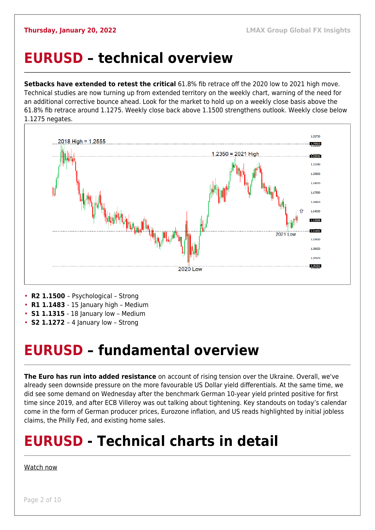#### <span id="page-1-0"></span>**EURUSD – technical overview**

**Setbacks have extended to retest the critical** 61.8% fib retrace off the 2020 low to 2021 high move. Technical studies are now turning up from extended territory on the weekly chart, warning of the need for an additional corrective bounce ahead. Look for the market to hold up on a weekly close basis above the 61.8% fib retrace around 1.1275. Weekly close back above 1.1500 strengthens outlook. Weekly close below 1.1275 negates.



- 
- **R1 1.1483**  15 January high Medium
- **S1 1.1315**  18 January low Medium
- **S2 1.1272**  4 January low Strong

#### <span id="page-1-1"></span>**EURUSD – fundamental overview**

**The Euro has run into added resistance** on account of rising tension over the Ukraine. Overall, we've already seen downside pressure on the more favourable US Dollar yield differentials. At the same time, we did see some demand on Wednesday after the benchmark German 10-year yield printed positive for first time since 2019, and after ECB Villeroy was out talking about tightening. Key standouts on today's calendar come in the form of German producer prices, Eurozone inflation, and US reads highlighted by initial jobless claims, the Philly Fed, and existing home sales.

## **EURUSD - Technical charts in detail**

#### [Watch now](https://youtu.be/P29foKX1IDw)

Page 2 of 10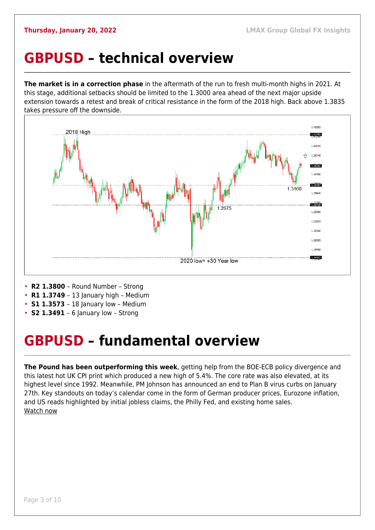#### <span id="page-2-0"></span>**GBPUSD – technical overview**

**The market is in a correction phase** in the aftermath of the run to fresh multi-month highs in 2021. At this stage, additional setbacks should be limited to the 1.3000 area ahead of the next major upside extension towards a retest and break of critical resistance in the form of the 2018 high. Back above 1.3835 takes pressure off the downside.



- **R2 1.3800**  Round Number Strong
- **R1 1.3749**  13 January high Medium
- **S1 1.3573**  18 January low Medium
- **S2 1.3491**  6 January low Strong

## <span id="page-2-1"></span>**GBPUSD – fundamental overview**

**The Pound has been outperforming this week**, getting help from the BOE-ECB policy divergence and this latest hot UK CPI print which produced a new high of 5.4%. The core rate was also elevated, at its highest level since 1992. Meanwhile, PM Johnson has announced an end to Plan B virus curbs on January 27th. Key standouts on today's calendar come in the form of German producer prices, Eurozone inflation, and US reads highlighted by initial jobless claims, the Philly Fed, and existing home sales. [Watch now](https://youtu.be/us4VlHNnfwY)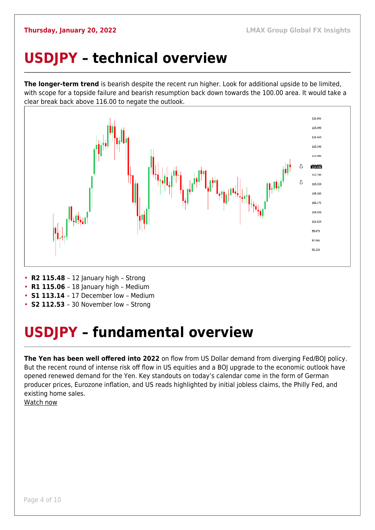## <span id="page-3-0"></span>**USDJPY – technical overview**

**The longer-term trend** is bearish despite the recent run higher. Look for additional upside to be limited, with scope for a topside failure and bearish resumption back down towards the 100.00 area. It would take a clear break back above 116.00 to negate the outlook.



- **R2 115.48**  12 January high Strong
- **R1 115.06** 18 January high Medium
- **S1 113.14**  17 December low Medium
- **S2 112.53**  30 November low Strong

## <span id="page-3-1"></span>**USDJPY – fundamental overview**

**The Yen has been well offered into 2022** on flow from US Dollar demand from diverging Fed/BOJ policy. But the recent round of intense risk off flow in US equities and a BOJ upgrade to the economic outlook have opened renewed demand for the Yen. Key standouts on today's calendar come in the form of German producer prices, Eurozone inflation, and US reads highlighted by initial jobless claims, the Philly Fed, and existing home sales.

[Watch now](https://youtu.be/mXHJx51NYz4)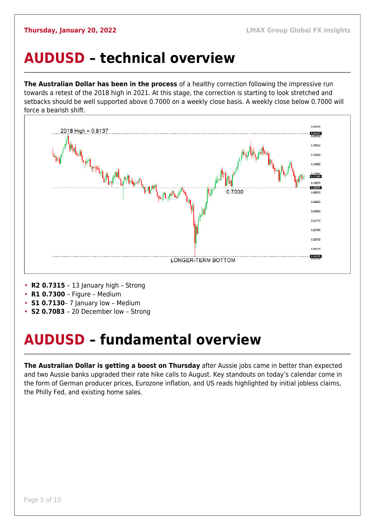#### <span id="page-4-0"></span>**AUDUSD – technical overview**

**The Australian Dollar has been in the process** of a healthy correction following the impressive run towards a retest of the 2018 high in 2021. At this stage, the correction is starting to look stretched and setbacks should be well supported above 0.7000 on a weekly close basis. A weekly close below 0.7000 will force a bearish shift.



- **R2 0.7315**  13 January high Strong
- **R1 0.7300**  Figure Medium
- **S1 0.7130** 7 January low Medium
- **S2 0.7083**  20 December low Strong

## <span id="page-4-1"></span>**AUDUSD – fundamental overview**

**The Australian Dollar is getting a boost on Thursday** after Aussie jobs came in better than expected and two Aussie banks upgraded their rate hike calls to August. Key standouts on today's calendar come in the form of German producer prices, Eurozone inflation, and US reads highlighted by initial jobless claims, the Philly Fed, and existing home sales.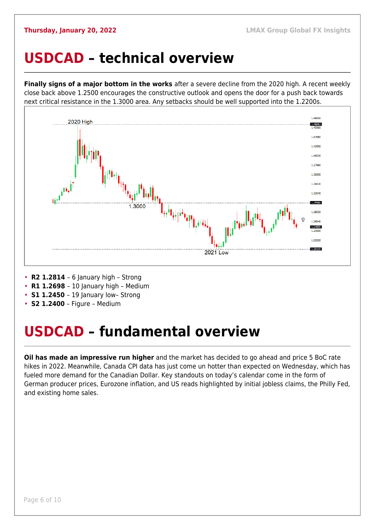#### <span id="page-5-0"></span>**USDCAD – technical overview**

**Finally signs of a major bottom in the works** after a severe decline from the 2020 high. A recent weekly close back above 1.2500 encourages the constructive outlook and opens the door for a push back towards next critical resistance in the 1.3000 area. Any setbacks should be well supported into the 1.2200s.



- **R2 1.2814**  6 January high Strong
- **R1 1.2698**  10 January high Medium
- **S1 1.2450** 19 January low- Strong
- **S2 1.2400** Figure Medium

## <span id="page-5-1"></span>**USDCAD – fundamental overview**

**Oil has made an impressive run higher** and the market has decided to go ahead and price 5 BoC rate hikes in 2022. Meanwhile, Canada CPI data has just come un hotter than expected on Wednesday, which has fueled more demand for the Canadian Dollar. Key standouts on today's calendar come in the form of German producer prices, Eurozone inflation, and US reads highlighted by initial jobless claims, the Philly Fed, and existing home sales.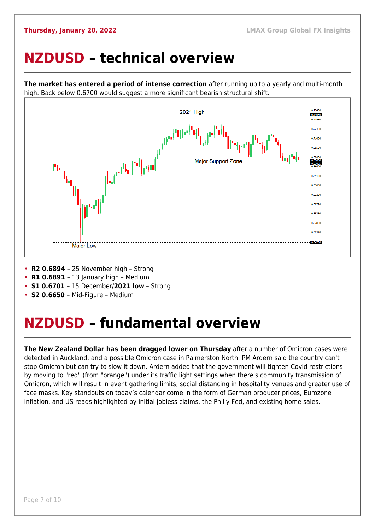#### <span id="page-6-0"></span>**NZDUSD – technical overview**

high. Back below 0.6700 would suggest a more significant bearish structural shift.

0.75400 2021 High 0.7396 0.71000 0.69560 **Maior Support Zone** ┄┄┄┄┄╷╌╌╌<sup>╒╪</sup><br>┇<mark>╪<sub>╄</sub>┆</mark>┇<sup>╪╤╝╌┿</sup>╇┼<sup>║</sup> 0.67606<br>0.67009 0.65120 n cacor 0.62200 0.60720 0.59280 0.57800 0.56320 0.54708 **Major Low** 

**The market has entered a period of intense correction** after running up to a yearly and multi-month

- **R2 0.6894**  25 November high Strong
- **R1 0.6891**  13 January high Medium
- **S1 0.6701**  15 December/**2021 low** Strong
- **S2 0.6650**  Mid-Figure Medium

## <span id="page-6-1"></span>**NZDUSD – fundamental overview**

**The New Zealand Dollar has been dragged lower on Thursday** after a number of Omicron cases were detected in Auckland, and a possible Omicron case in Palmerston North. PM Ardern said the country can't stop Omicron but can try to slow it down. Ardern added that the government will tighten Covid restrictions by moving to "red" (from "orange") under its traffic light settings when there's community transmission of Omicron, which will result in event gathering limits, social distancing in hospitality venues and greater use of face masks. Key standouts on today's calendar come in the form of German producer prices, Eurozone inflation, and US reads highlighted by initial jobless claims, the Philly Fed, and existing home sales.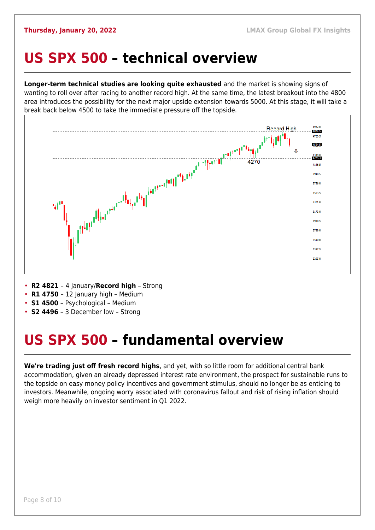#### <span id="page-7-0"></span>**US SPX 500 – technical overview**

**Longer-term technical studies are looking quite exhausted** and the market is showing signs of wanting to roll over after racing to another record high. At the same time, the latest breakout into the 4800 area introduces the possibility for the next major upside extension towards 5000. At this stage, it will take a break back below 4500 to take the immediate pressure off the topside.



- **R2 4821**  4 January/**Record high** Strong
- **R1 4750**  12 January high Medium
- **S1 4500**  Psychological Medium
- **S2 4496**  3 December low Strong

## <span id="page-7-1"></span>**US SPX 500 – fundamental overview**

**We're trading just off fresh record highs**, and yet, with so little room for additional central bank accommodation, given an already depressed interest rate environment, the prospect for sustainable runs to the topside on easy money policy incentives and government stimulus, should no longer be as enticing to investors. Meanwhile, ongoing worry associated with coronavirus fallout and risk of rising inflation should weigh more heavily on investor sentiment in Q1 2022.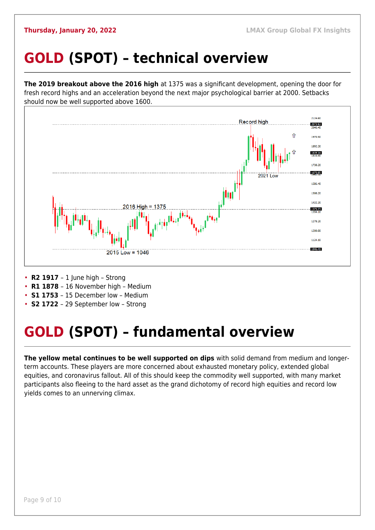## <span id="page-8-0"></span>**GOLD (SPOT) – technical overview**

**The 2019 breakout above the 2016 high** at 1375 was a significant development, opening the door for fresh record highs and an acceleration beyond the next major psychological barrier at 2000. Setbacks should now be well supported above 1600.



- **R2 1917**  1 June high Strong
- **R1 1878**  16 November high Medium
- **S1 1753**  15 December low Medium
- **S2 1722**  29 September low Strong

## <span id="page-8-1"></span>**GOLD (SPOT) – fundamental overview**

**The yellow metal continues to be well supported on dips** with solid demand from medium and longerterm accounts. These players are more concerned about exhausted monetary policy, extended global equities, and coronavirus fallout. All of this should keep the commodity well supported, with many market participants also fleeing to the hard asset as the grand dichotomy of record high equities and record low yields comes to an unnerving climax.